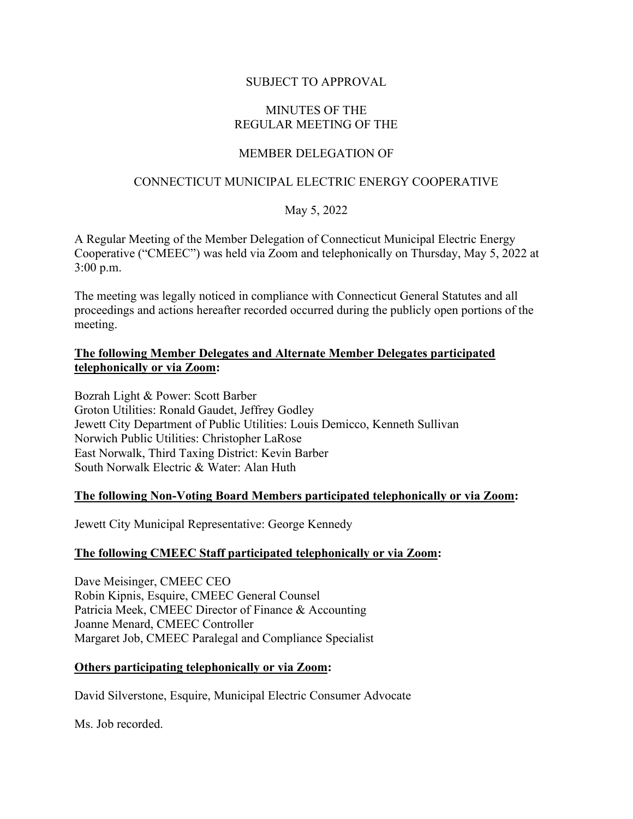# SUBJECT TO APPROVAL

## MINUTES OF THE REGULAR MEETING OF THE

# MEMBER DELEGATION OF

# CONNECTICUT MUNICIPAL ELECTRIC ENERGY COOPERATIVE

# May 5, 2022

A Regular Meeting of the Member Delegation of Connecticut Municipal Electric Energy Cooperative ("CMEEC") was held via Zoom and telephonically on Thursday, May 5, 2022 at 3:00 p.m.

The meeting was legally noticed in compliance with Connecticut General Statutes and all proceedings and actions hereafter recorded occurred during the publicly open portions of the meeting.

# **The following Member Delegates and Alternate Member Delegates participated telephonically or via Zoom:**

Bozrah Light & Power: Scott Barber Groton Utilities: Ronald Gaudet, Jeffrey Godley Jewett City Department of Public Utilities: Louis Demicco, Kenneth Sullivan Norwich Public Utilities: Christopher LaRose East Norwalk, Third Taxing District: Kevin Barber South Norwalk Electric & Water: Alan Huth

# **The following Non-Voting Board Members participated telephonically or via Zoom:**

Jewett City Municipal Representative: George Kennedy

# **The following CMEEC Staff participated telephonically or via Zoom:**

Dave Meisinger, CMEEC CEO Robin Kipnis, Esquire, CMEEC General Counsel Patricia Meek, CMEEC Director of Finance & Accounting Joanne Menard, CMEEC Controller Margaret Job, CMEEC Paralegal and Compliance Specialist

#### **Others participating telephonically or via Zoom:**

David Silverstone, Esquire, Municipal Electric Consumer Advocate

Ms. Job recorded.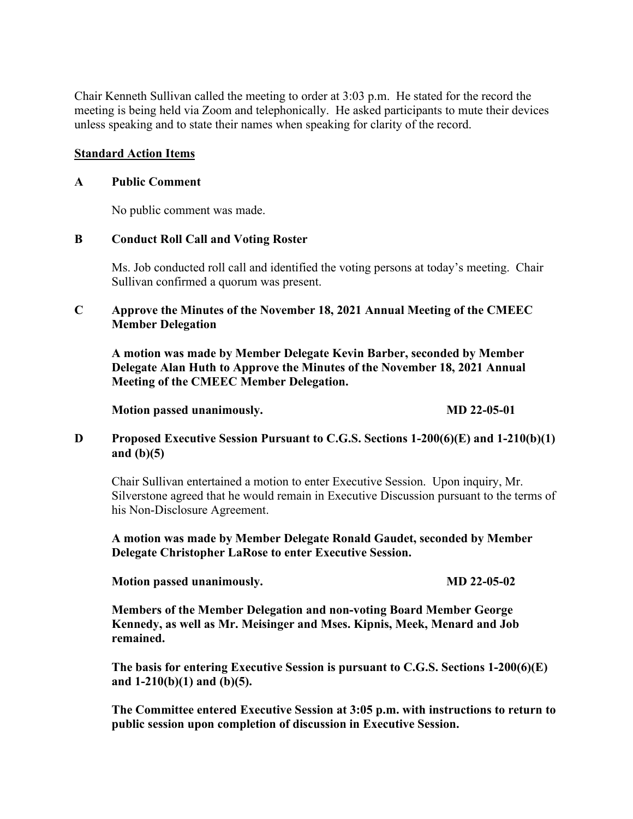Chair Kenneth Sullivan called the meeting to order at 3:03 p.m. He stated for the record the meeting is being held via Zoom and telephonically. He asked participants to mute their devices unless speaking and to state their names when speaking for clarity of the record.

#### **Standard Action Items**

#### **A Public Comment**

No public comment was made.

#### **B Conduct Roll Call and Voting Roster**

Ms. Job conducted roll call and identified the voting persons at today's meeting. Chair Sullivan confirmed a quorum was present.

## **C Approve the Minutes of the November 18, 2021 Annual Meeting of the CMEEC Member Delegation**

**A motion was made by Member Delegate Kevin Barber, seconded by Member Delegate Alan Huth to Approve the Minutes of the November 18, 2021 Annual Meeting of the CMEEC Member Delegation.**

**Motion passed unanimously. MD 22-05-01** 

## **D Proposed Executive Session Pursuant to C.G.S. Sections 1-200(6)(E) and 1-210(b)(1) and (b)(5)**

Chair Sullivan entertained a motion to enter Executive Session. Upon inquiry, Mr. Silverstone agreed that he would remain in Executive Discussion pursuant to the terms of his Non-Disclosure Agreement.

**A motion was made by Member Delegate Ronald Gaudet, seconded by Member Delegate Christopher LaRose to enter Executive Session.** 

**Motion passed unanimously. MD 22-05-02** 

**Members of the Member Delegation and non-voting Board Member George Kennedy, as well as Mr. Meisinger and Mses. Kipnis, Meek, Menard and Job remained.**

**The basis for entering Executive Session is pursuant to C.G.S. Sections 1-200(6)(E) and 1-210(b)(1) and (b)(5).**

**The Committee entered Executive Session at 3:05 p.m. with instructions to return to public session upon completion of discussion in Executive Session.**